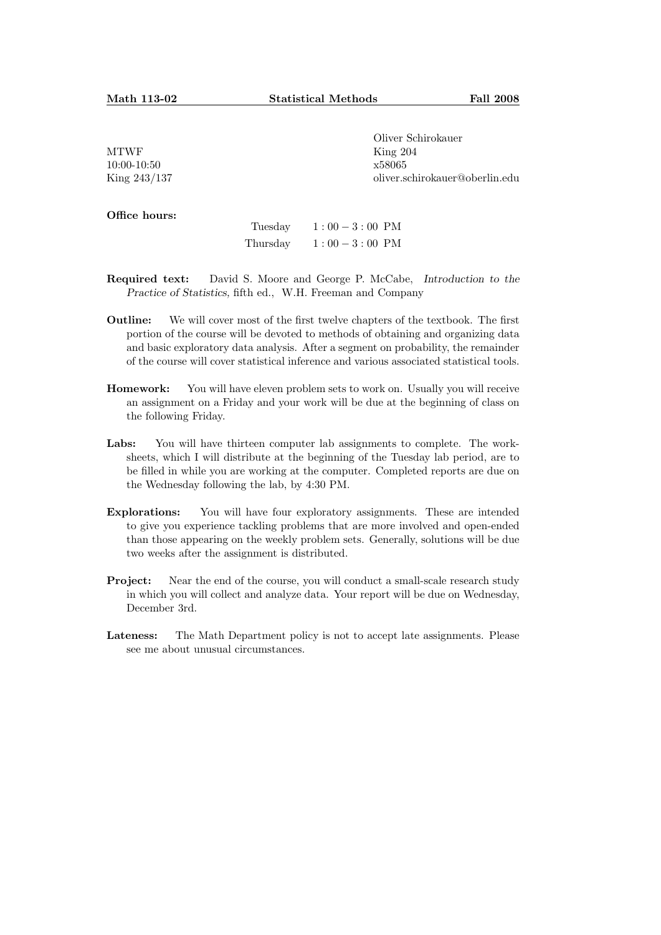MTWF 10:00-10:50 King 243/137 Oliver Schirokauer King 204 x58065 oliver.schirokauer@oberlin.edu

Office hours:

| Tuesday  | $1:00-3:00$ PM |  |
|----------|----------------|--|
| Thursday | $1:00-3:00$ PM |  |

- Required text: David S. Moore and George P. McCabe, Introduction to the Practice of Statistics, fifth ed., W.H. Freeman and Company
- Outline: We will cover most of the first twelve chapters of the textbook. The first portion of the course will be devoted to methods of obtaining and organizing data and basic exploratory data analysis. After a segment on probability, the remainder of the course will cover statistical inference and various associated statistical tools.
- Homework: You will have eleven problem sets to work on. Usually you will receive an assignment on a Friday and your work will be due at the beginning of class on the following Friday.
- Labs: You will have thirteen computer lab assignments to complete. The worksheets, which I will distribute at the beginning of the Tuesday lab period, are to be filled in while you are working at the computer. Completed reports are due on the Wednesday following the lab, by 4:30 PM.
- Explorations: You will have four exploratory assignments. These are intended to give you experience tackling problems that are more involved and open-ended than those appearing on the weekly problem sets. Generally, solutions will be due two weeks after the assignment is distributed.
- **Project:** Near the end of the course, you will conduct a small-scale research study in which you will collect and analyze data. Your report will be due on Wednesday, December 3rd.
- Lateness: The Math Department policy is not to accept late assignments. Please see me about unusual circumstances.